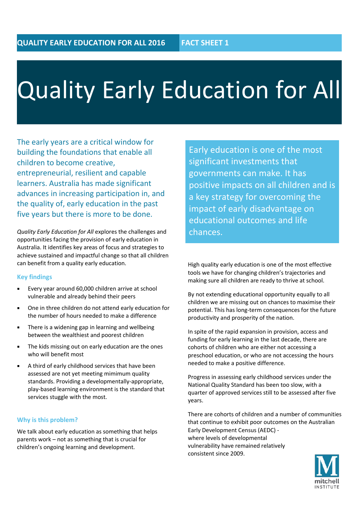# Quality Early Education for All

The early years are a critical window for building the foundations that enable all children to become creative, entrepreneurial, resilient and capable learners. Australia has made significant advances in increasing participation in, and the quality of, early education in the past five years but there is more to be done.

*Quality Early Education for All* explores the challenges and opportunities facing the provision of early education in Australia. It identifies key areas of focus and strategies to achieve sustained and impactful change so that all children can benefit from a quality early education.

#### **Key findings**

- Every year around 60,000 children arrive at school vulnerable and already behind their peers
- One in three children do not attend early education for the number of hours needed to make a difference
- **Fig.** There is a widening gap in learning and wellbeing between the wealthiest and poorest children
- The kids missing out on early education are the ones who will benefit most
- A third of early childhood services that have been assessed are not yet meeting mimimum quality standards. Providing a developmentally-appropriate, play-based learning environment is the standard that services stuggle with the most.

#### **Why is this problem?**

We talk about early education as something that helps parents work – not as something that is crucial for children's ongoing learning and development.

Early education is one of the most significant investments that governments can make. It has positive impacts on all children and is a key strategy for overcoming the impact of early disadvantage on educational outcomes and life chances.

High quality early education is one of the most effective tools we have for changing children's trajectories and making sure all children are ready to thrive at school.

By not extending educational opportunity equally to all children we are missing out on chances to maximise their potential. This has long-term consequences for the future productivity and prosperity of the nation.

In spite of the rapid expansion in provision, access and funding for early learning in the last decade, there are cohorts of children who are either not accessing a preschool education, or who are not accessing the hours needed to make a positive difference.

Progress in assessing early childhood services under the National Quality Standard has been too slow, with a quarter of approved services still to be assessed after five years.

There are cohorts of children and a number of communities that continue to exhibit poor outcomes on the [Australian](https://www.google.com.au/url?sa=t&rct=j&q=&esrc=s&source=web&cd=1&sqi=2&ved=0ahUKEwjvw4CDypfMAhVkiKYKHXY5BYQQFggbMAA&url=https%3A%2F%2Fwww.aedc.gov.au%2F&usg=AFQjCNHQPoHgM849pNehPPw7V0Cg-w-Enw&bvm=bv.119745492,d.cGc)  [Early Development Census](https://www.google.com.au/url?sa=t&rct=j&q=&esrc=s&source=web&cd=1&sqi=2&ved=0ahUKEwjvw4CDypfMAhVkiKYKHXY5BYQQFggbMAA&url=https%3A%2F%2Fwww.aedc.gov.au%2F&usg=AFQjCNHQPoHgM849pNehPPw7V0Cg-w-Enw&bvm=bv.119745492,d.cGc) (AEDC) where levels of developmental vulnerability have remained relatively consistent since 2009.